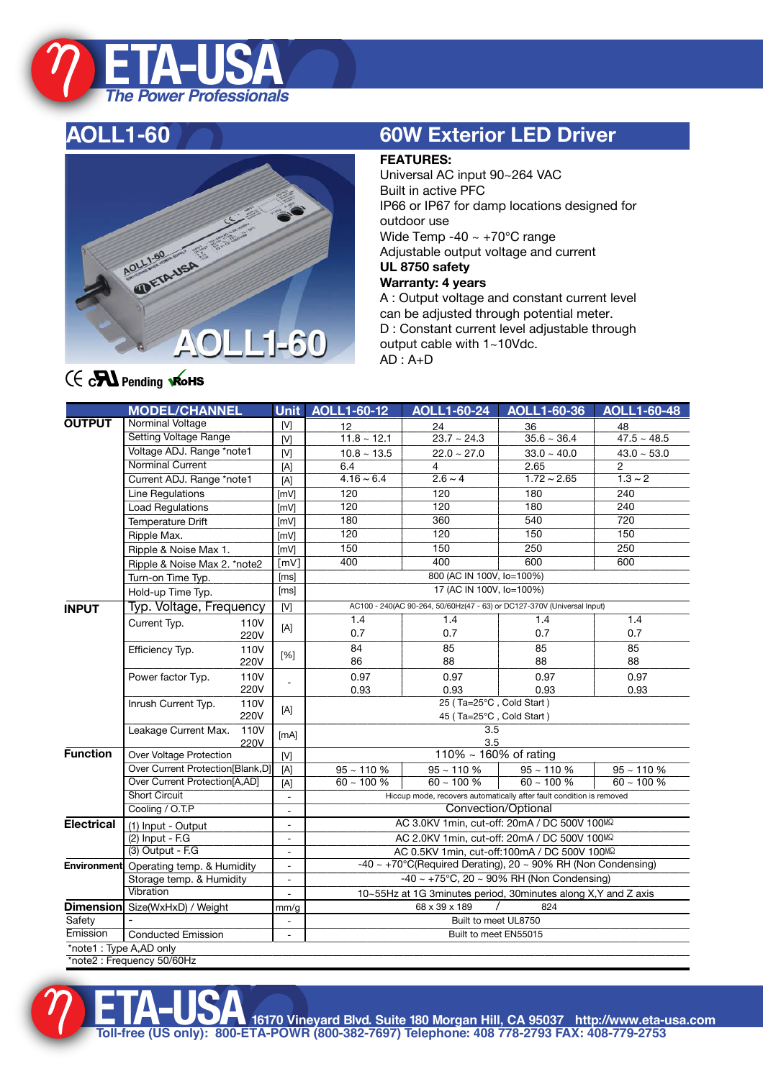

## **AOLL1-60**



## **60W Exterior LED Driver**

### **FEATURES:**

Universal AC input 90~264 VAC Built in active PFC IP66 or IP67 for damp locations designed for outdoor use Wide Temp -40 ~ +70℃ range Adjustable output voltage and current **UL 8750 safety Warranty: 4 years** A : Output voltage and constant current level can be adjusted through potential meter. D : Constant current level adjustable through

output cable with 1~10Vdc.

 $AD : A+D$ 

## $f \in \mathbf{R}$  Pending **RoHS**

|                        | <b>MODEL/CHANNEL</b>                                                 |      | <b>Unit</b>              | AOLL1-60-12                                                               | <b>AOLL1-60-24</b>                                           | AOLL1-60-36      | <b>AOLL1-60-48</b> |
|------------------------|----------------------------------------------------------------------|------|--------------------------|---------------------------------------------------------------------------|--------------------------------------------------------------|------------------|--------------------|
| <b>OUTPUT</b>          | <b>Norminal Voltage</b>                                              |      | [M]                      | 12                                                                        | 24                                                           | 36               | 48                 |
|                        | <b>Setting Voltage Range</b>                                         |      | M                        | $11.8 - 12.1$                                                             | $23.7 - 24.3$                                                | $35.6 - 36.4$    | $47.5 - 48.5$      |
|                        | Voltage ADJ. Range *note1                                            |      | M                        | $10.8 - 13.5$                                                             | $22.0 - 27.0$                                                | $33.0 - 40.0$    | $43.0 - 53.0$      |
|                        | Norminal Current                                                     |      | $[{\sf A}]$              | 6.4                                                                       | 4                                                            | 2.65             | $\overline{2}$     |
|                        | Current ADJ. Range *note1                                            |      | [A]                      | $4.16 \sim 6.4$                                                           | $2.6 - 4$                                                    | $1.72 \sim 2.65$ | $1.3 \sim 2$       |
|                        | Line Regulations                                                     |      | [mV]                     | 120                                                                       | 120                                                          | 180              | 240                |
|                        | <b>Load Regulations</b>                                              |      | [mV]                     | 120                                                                       | $\overline{120}$                                             | 180              | $\frac{1}{240}$    |
|                        | Temperature Drift                                                    |      | [mV]                     | 180                                                                       | 360                                                          | 540              | $\overline{720}$   |
|                        | Ripple Max.                                                          |      | [mV]                     | 120                                                                       | 120                                                          | $\overline{150}$ | 150                |
|                        | Ripple & Noise Max 1.                                                |      | [mV]                     | 150                                                                       | 150                                                          | 250              | 250                |
|                        | Ripple & Noise Max 2. *note2                                         |      | $\lceil mV \rceil$       | 400                                                                       | 400                                                          | 600              | 600                |
|                        | Turn-on Time Typ.                                                    |      | [ms]                     | 800 (AC IN 100V, Io=100%)                                                 |                                                              |                  |                    |
|                        | Hold-up Time Typ.                                                    |      | [ms]                     | 17 (AC IN 100V, lo=100%)                                                  |                                                              |                  |                    |
| <b>INPUT</b>           | Typ. Voltage, Frequency                                              |      | $\overline{M}$           | AC100 - 240(AC 90-264, 50/60Hz(47 - 63) or DC127-370V (Universal Input)   |                                                              |                  |                    |
|                        | Current Typ.                                                         | 110V | [A]                      | 1.4                                                                       | 1.4                                                          | 1.4              | 1.4                |
|                        |                                                                      | 220V |                          | 0.7                                                                       | 0.7                                                          | 0.7              | 0.7                |
|                        | Efficiency Typ.                                                      | 110V | [%]                      | 84                                                                        | 85                                                           | 85               | 85                 |
|                        |                                                                      | 220V |                          | 86                                                                        | 88                                                           | 88               | 88                 |
|                        | Power factor Typ.                                                    | 110V |                          | 0.97                                                                      | 0.97                                                         | 0.97             | 0.97               |
|                        |                                                                      | 220V |                          | 0.93                                                                      | 0.93                                                         | 0.93             | 0.93               |
|                        | Inrush Current Typ.<br>110V<br>220V                                  |      | [A]                      | 25 (Ta=25°C, Cold Start)                                                  |                                                              |                  |                    |
|                        |                                                                      |      |                          | 45 (Ta=25°C, Cold Start)                                                  |                                                              |                  |                    |
|                        | Leakage Current Max.<br>110V<br>220V                                 |      | [mA]                     | 3.5                                                                       |                                                              |                  |                    |
|                        |                                                                      |      |                          | 3.5                                                                       |                                                              |                  |                    |
| <b>Function</b>        | Over Voltage Protection                                              |      | [M]                      |                                                                           | 110% ~ 160% of rating                                        |                  |                    |
|                        | Over Current Protection[Blank,D]                                     |      | $[{\sf A}]$              | $95 - 110 %$                                                              | $95 - 110 %$                                                 | $95 - 110 %$     | $95 - 110 %$       |
|                        | Over Current Protection[A,AD]                                        |      | [A]                      |                                                                           | $60 - 100 %$<br>$60 - 100 %$<br>$60 - 100 %$<br>$60 - 100 %$ |                  |                    |
|                        | <b>Short Circuit</b>                                                 |      | $\overline{\phantom{a}}$ | Hiccup mode, recovers automatically after fault condition is removed      |                                                              |                  |                    |
|                        | Cooling / O.T.P                                                      |      | $\equiv$                 | Convection/Optional                                                       |                                                              |                  |                    |
| <b>Electrical</b>      | (1) Input - Output                                                   |      | $\overline{\phantom{a}}$ | AC 3.0KV 1min, cut-off: 20mA / DC 500V 100MΩ                              |                                                              |                  |                    |
|                        | $(2)$ Input - F.G                                                    |      | $\blacksquare$           | AC 2.0KV 1min, cut-off: 20mA / DC 500V 100MΩ                              |                                                              |                  |                    |
|                        | (3) Output - F.G.                                                    |      | $\blacksquare$           | AC 0.5KV 1min, cut-off:100mA / DC 500V 100MQ                              |                                                              |                  |                    |
|                        | <b>Environment</b> Operating temp. & Humidity                        |      | $\overline{\phantom{a}}$ | $-40 \sim +70^{\circ}$ C(Required Derating), 20 ~ 90% RH (Non Condensing) |                                                              |                  |                    |
|                        | Storage temp. & Humidity                                             |      | $\overline{\phantom{a}}$ | $-40 \sim +75^{\circ}$ C, 20 ~ 90% RH (Non Condensing)                    |                                                              |                  |                    |
|                        | <b>Vibration</b>                                                     |      | $\equiv$                 | 10~55Hz at 1G 3minutes period, 30minutes along X, Y and Z axis            |                                                              |                  |                    |
|                        | <b>Dimension</b> Size(WxHxD) / Weight                                |      | mm/g                     | 68 x 39 x 189<br>824                                                      |                                                              |                  |                    |
| Safety                 |                                                                      |      | $\overline{\phantom{a}}$ | Built to meet UL8750                                                      |                                                              |                  |                    |
| Emission               | <b>Conducted Emission</b><br>Built to meet EN55015<br>$\blacksquare$ |      |                          |                                                                           |                                                              |                  |                    |
| *note1: Type A,AD only | *note2 · Frequency 50/60Hz                                           |      |                          |                                                                           |                                                              |                  |                    |

\*note2 : Frequency 50/60Hz



**ETA-USA16170 Vineyard Blvd. Suite 180 Morgan Hill, CA 95037 http://www.eta-usa.com Toll-free (US only): 800-ETA-POWR (800-382-7697) Telephone: 408 778-2793 FAX: 408-779-2753**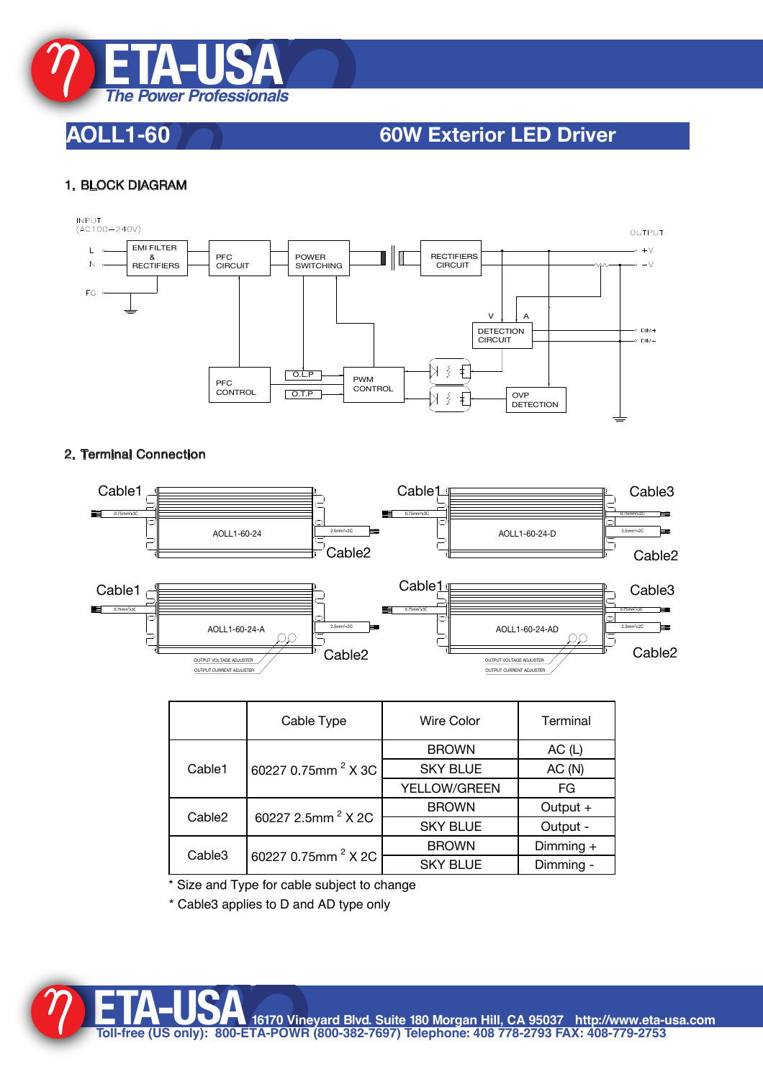

## **AOLL1-60 60W Exterior LED Driver**

### 1. BLOCK DIAGRAM



### 2. Terminal Connection



Size and Type for cable subject to change

\* Cable3 applies to D and AD type only



**ETA-USA16170 Vineyard Blvd. Suite 180 Morgan Hill, CA 95037 http://www.eta-usa.com Toll-free (US only): 800-ETA-POWR (800-382-7697) Telephone: 408 778-2793 FAX: 408-779-2753**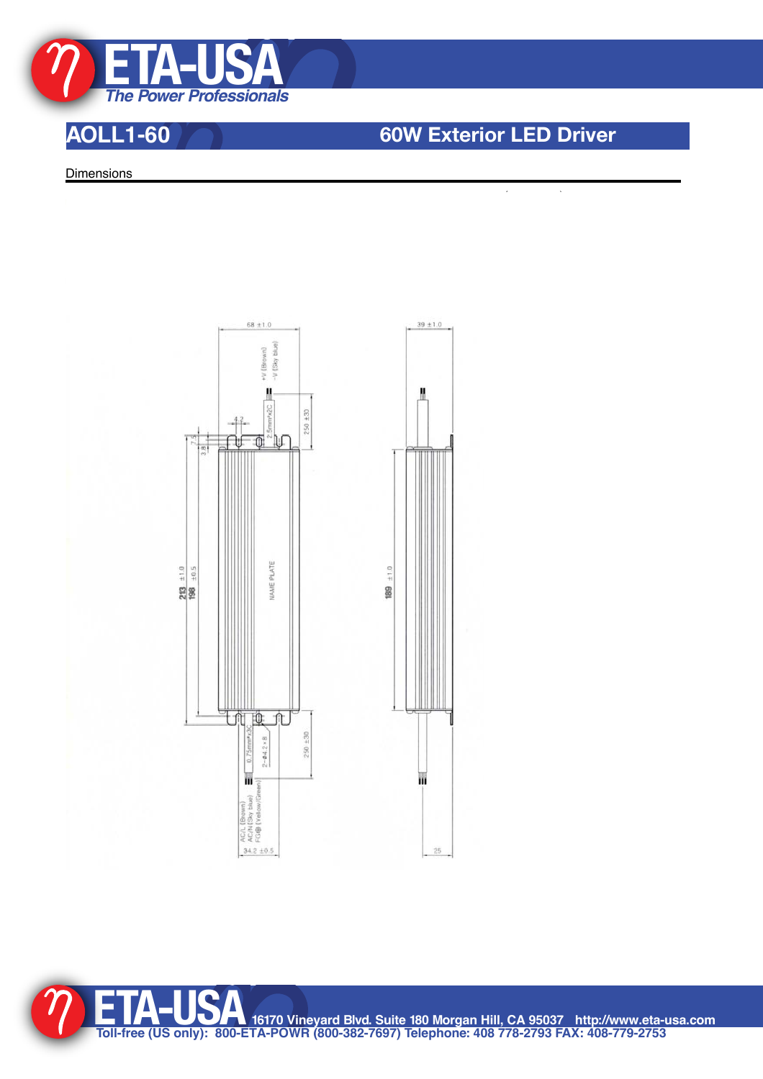

## **AOLL1-60 60W Exterior LED Driver**

 $\overline{\phantom{a}}$ 

 $\ddot{\phantom{a}}$ 

**Dimensions** 



**ETA-USA16170 Vineyard Blvd. Suite 180 Morgan Hill, CA 95037 http://www.eta-usa.com Toll-free (US only): 800-ETA-POWR (800-382-7697) Telephone: 408 778-2793 FAX: 408-779-2753**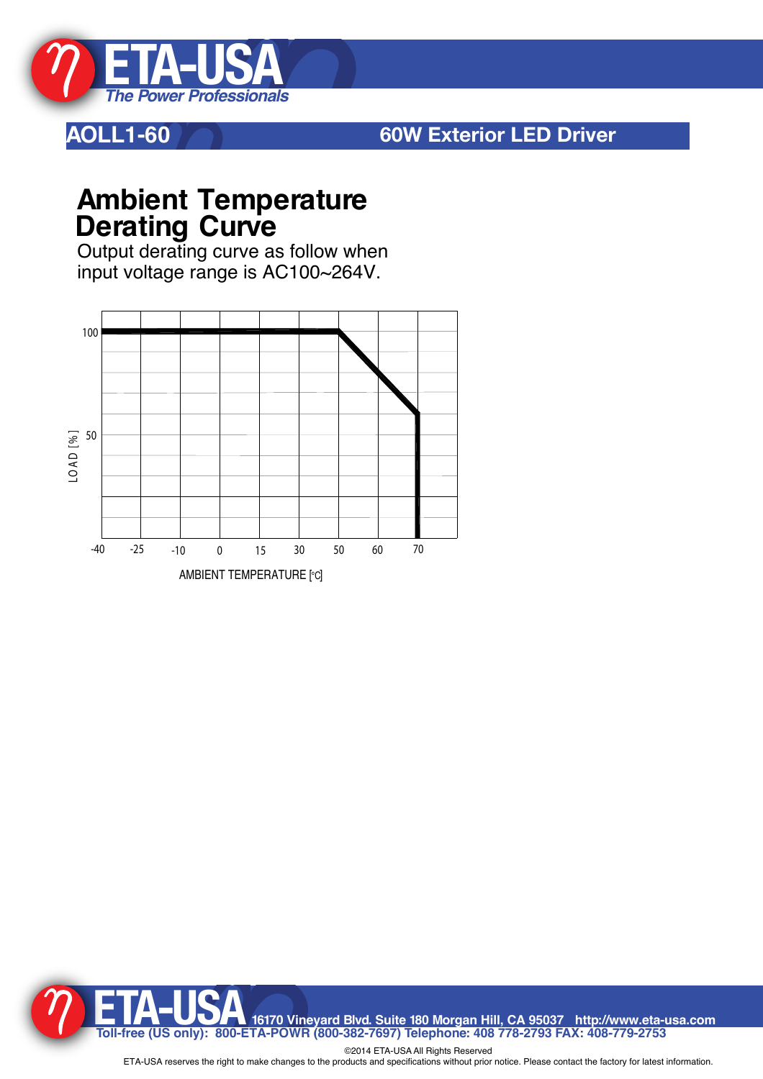

## **AOLL1-60 60W Exterior LED Driver**

# **Ambient Temperature Derating Curve**

Output derating curve as follow when input voltage range is AC100~264V.



TA-USA 16170 Vineyard Blvd. Suite 180 Morgan Hill, CA 95037 http://www.eta-usa.com<br>Toll-free (US only): 800-ETA-POWR (800-382-7697) Telephone: 408 778-2793 FAX: 408-779-2753

©2014 ETA-USA All Rights Reserved ETA-USA reserves the right to make changes to the products and specifications without prior notice. Please contact the factory for latest information.